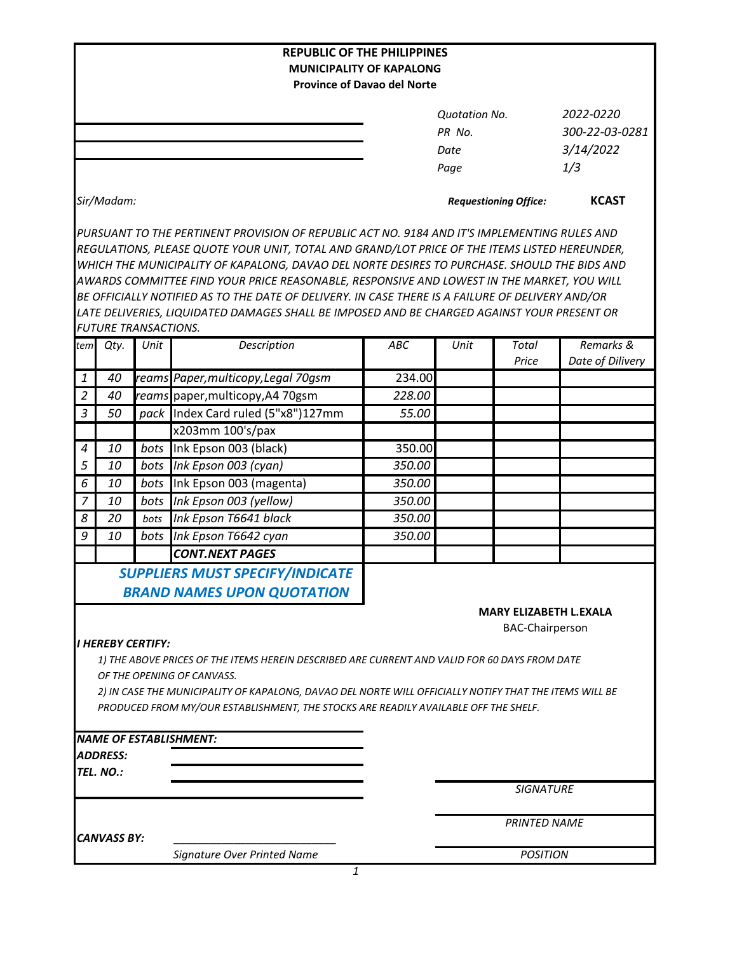|                |                             |      | <b>REPUBLIC OF THE PHILIPPINES</b><br><b>MUNICIPALITY OF KAPALONG</b>                                                                                                                                                                                                                                                                                                                                                                                                                                                                                                                          |        |                                                |                                                  |                                                 |  |
|----------------|-----------------------------|------|------------------------------------------------------------------------------------------------------------------------------------------------------------------------------------------------------------------------------------------------------------------------------------------------------------------------------------------------------------------------------------------------------------------------------------------------------------------------------------------------------------------------------------------------------------------------------------------------|--------|------------------------------------------------|--------------------------------------------------|-------------------------------------------------|--|
|                |                             |      | <b>Province of Davao del Norte</b>                                                                                                                                                                                                                                                                                                                                                                                                                                                                                                                                                             |        |                                                |                                                  |                                                 |  |
|                |                             |      |                                                                                                                                                                                                                                                                                                                                                                                                                                                                                                                                                                                                |        | <b>Quotation No.</b><br>PR No.<br>Date<br>Page |                                                  | 2022-0220<br>300-22-03-0281<br>3/14/2022<br>1/3 |  |
|                | Sir/Madam:                  |      |                                                                                                                                                                                                                                                                                                                                                                                                                                                                                                                                                                                                |        | <b>Requestioning Office:</b>                   |                                                  | <b>KCAST</b>                                    |  |
|                | <b>FUTURE TRANSACTIONS.</b> |      | PURSUANT TO THE PERTINENT PROVISION OF REPUBLIC ACT NO. 9184 AND IT'S IMPLEMENTING RULES AND<br>REGULATIONS, PLEASE QUOTE YOUR UNIT, TOTAL AND GRAND/LOT PRICE OF THE ITEMS LISTED HEREUNDER,<br>WHICH THE MUNICIPALITY OF KAPALONG, DAVAO DEL NORTE DESIRES TO PURCHASE. SHOULD THE BIDS AND<br>AWARDS COMMITTEE FIND YOUR PRICE REASONABLE, RESPONSIVE AND LOWEST IN THE MARKET, YOU WILL<br>BE OFFICIALLY NOTIFIED AS TO THE DATE OF DELIVERY. IN CASE THERE IS A FAILURE OF DELIVERY AND/OR<br>LATE DELIVERIES, LIQUIDATED DAMAGES SHALL BE IMPOSED AND BE CHARGED AGAINST YOUR PRESENT OR |        |                                                |                                                  |                                                 |  |
| tem            | Qty.                        | Unit | Description                                                                                                                                                                                                                                                                                                                                                                                                                                                                                                                                                                                    | ABC    | Unit                                           | <b>Total</b><br>Price                            | Remarks &<br>Date of Dilivery                   |  |
| 1              | 40                          |      | reams Paper, multicopy, Legal 70gsm                                                                                                                                                                                                                                                                                                                                                                                                                                                                                                                                                            | 234.00 |                                                |                                                  |                                                 |  |
| $\overline{2}$ | 40                          |      | reams paper, multicopy, A4 70gsm                                                                                                                                                                                                                                                                                                                                                                                                                                                                                                                                                               | 228.00 |                                                |                                                  |                                                 |  |
| $\mathfrak{Z}$ | 50                          | pack | Index Card ruled (5"x8")127mm                                                                                                                                                                                                                                                                                                                                                                                                                                                                                                                                                                  | 55.00  |                                                |                                                  |                                                 |  |
|                |                             |      | x203mm 100's/pax                                                                                                                                                                                                                                                                                                                                                                                                                                                                                                                                                                               |        |                                                |                                                  |                                                 |  |
| $\overline{a}$ | 10                          | bots | Ink Epson 003 (black)                                                                                                                                                                                                                                                                                                                                                                                                                                                                                                                                                                          | 350.00 |                                                |                                                  |                                                 |  |
| 5              | 10                          | bots | Ink Epson 003 (cyan)                                                                                                                                                                                                                                                                                                                                                                                                                                                                                                                                                                           | 350.00 |                                                |                                                  |                                                 |  |
| 6              | 10                          | bots | Ink Epson 003 (magenta)                                                                                                                                                                                                                                                                                                                                                                                                                                                                                                                                                                        | 350.00 |                                                |                                                  |                                                 |  |
| $\overline{7}$ | 10                          | bots | Ink Epson 003 (yellow)                                                                                                                                                                                                                                                                                                                                                                                                                                                                                                                                                                         | 350.00 |                                                |                                                  |                                                 |  |
| 8              | 20                          | bots | Ink Epson T6641 black                                                                                                                                                                                                                                                                                                                                                                                                                                                                                                                                                                          | 350.00 |                                                |                                                  |                                                 |  |
| 9              | 10                          | bots | Ink Epson T6642 cyan                                                                                                                                                                                                                                                                                                                                                                                                                                                                                                                                                                           | 350.00 |                                                |                                                  |                                                 |  |
|                |                             |      | <b>CONT.NEXT PAGES</b>                                                                                                                                                                                                                                                                                                                                                                                                                                                                                                                                                                         |        |                                                |                                                  |                                                 |  |
|                |                             |      | <b>SUPPLIERS MUST SPECIFY/INDICATE</b><br><b>BRAND NAMES UPON QUOTATION</b>                                                                                                                                                                                                                                                                                                                                                                                                                                                                                                                    |        |                                                | MARY ELIZABETH L.EXALA<br><b>BAC-Chairperson</b> |                                                 |  |
|                | <b>I HEREBY CERTIFY:</b>    |      | 1) THE ABOVE PRICES OF THE ITEMS HEREIN DESCRIBED ARE CURRENT AND VALID FOR 60 DAYS FROM DATE<br>OF THE OPENING OF CANVASS.<br>2) IN CASE THE MUNICIPALITY OF KAPALONG, DAVAO DEL NORTE WILL OFFICIALLY NOTIFY THAT THE ITEMS WILL BE<br>PRODUCED FROM MY/OUR ESTABLISHMENT, THE STOCKS ARE READILY AVAILABLE OFF THE SHELF.                                                                                                                                                                                                                                                                   |        |                                                |                                                  |                                                 |  |
|                | <b>ADDRESS:</b>             |      | <b>NAME OF ESTABLISHMENT:</b>                                                                                                                                                                                                                                                                                                                                                                                                                                                                                                                                                                  |        |                                                |                                                  |                                                 |  |
|                | TEL. NO.:                   |      |                                                                                                                                                                                                                                                                                                                                                                                                                                                                                                                                                                                                |        |                                                |                                                  |                                                 |  |
|                |                             |      |                                                                                                                                                                                                                                                                                                                                                                                                                                                                                                                                                                                                |        |                                                | <b>SIGNATURE</b>                                 |                                                 |  |
|                | <b>CANVASS BY:</b>          |      |                                                                                                                                                                                                                                                                                                                                                                                                                                                                                                                                                                                                |        |                                                | <b>PRINTED NAME</b>                              |                                                 |  |
|                |                             |      | Signature Over Printed Name                                                                                                                                                                                                                                                                                                                                                                                                                                                                                                                                                                    |        | <b>POSITION</b>                                |                                                  |                                                 |  |

*1*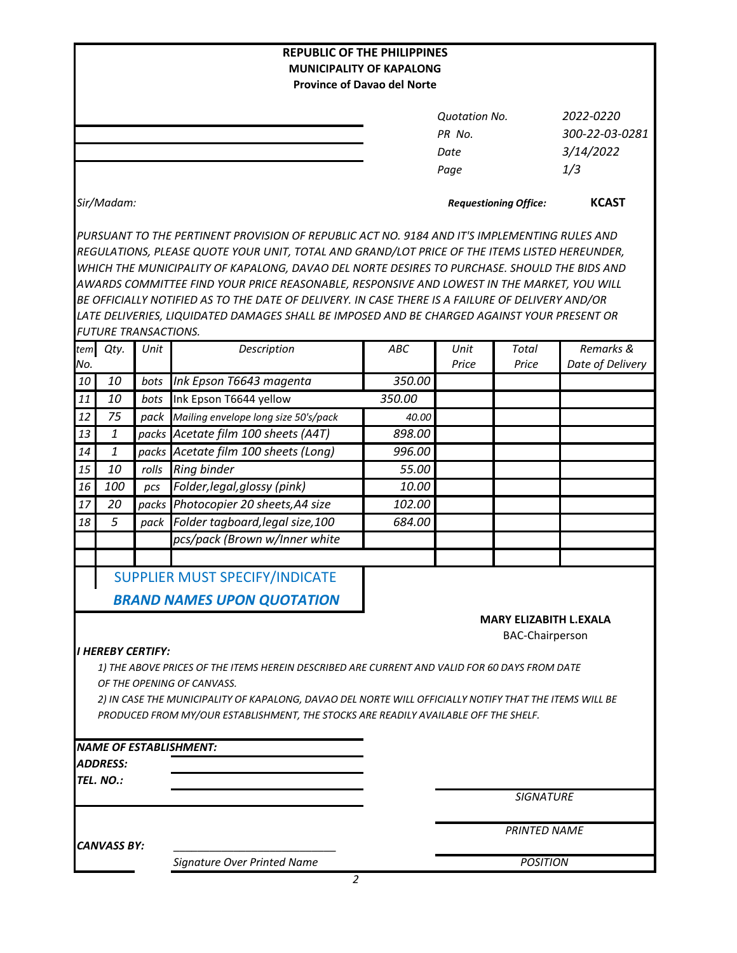|                                                                                                        |                             |       | <b>REPUBLIC OF THE PHILIPPINES</b><br><b>MUNICIPALITY OF KAPALONG</b>                                                                                                                         |                                                         |                              |                     |                  |  |
|--------------------------------------------------------------------------------------------------------|-----------------------------|-------|-----------------------------------------------------------------------------------------------------------------------------------------------------------------------------------------------|---------------------------------------------------------|------------------------------|---------------------|------------------|--|
|                                                                                                        |                             |       |                                                                                                                                                                                               | <b>Province of Davao del Norte</b>                      |                              |                     |                  |  |
|                                                                                                        |                             |       |                                                                                                                                                                                               |                                                         |                              |                     |                  |  |
|                                                                                                        |                             |       |                                                                                                                                                                                               |                                                         | <b>Quotation No.</b>         |                     | 2022-0220        |  |
|                                                                                                        |                             |       |                                                                                                                                                                                               |                                                         | PR No.                       |                     | 300-22-03-0281   |  |
|                                                                                                        |                             |       |                                                                                                                                                                                               |                                                         | Date                         |                     | 3/14/2022        |  |
|                                                                                                        |                             |       |                                                                                                                                                                                               |                                                         | Page                         |                     | 1/3              |  |
| Sir/Madam:                                                                                             |                             |       |                                                                                                                                                                                               |                                                         | <b>Requestioning Office:</b> | <b>KCAST</b>        |                  |  |
|                                                                                                        |                             |       | PURSUANT TO THE PERTINENT PROVISION OF REPUBLIC ACT NO. 9184 AND IT'S IMPLEMENTING RULES AND<br>REGULATIONS, PLEASE QUOTE YOUR UNIT, TOTAL AND GRAND/LOT PRICE OF THE ITEMS LISTED HEREUNDER, |                                                         |                              |                     |                  |  |
|                                                                                                        |                             |       | WHICH THE MUNICIPALITY OF KAPALONG, DAVAO DEL NORTE DESIRES TO PURCHASE. SHOULD THE BIDS AND                                                                                                  |                                                         |                              |                     |                  |  |
|                                                                                                        |                             |       | AWARDS COMMITTEE FIND YOUR PRICE REASONABLE, RESPONSIVE AND LOWEST IN THE MARKET, YOU WILL                                                                                                    |                                                         |                              |                     |                  |  |
|                                                                                                        |                             |       | BE OFFICIALLY NOTIFIED AS TO THE DATE OF DELIVERY. IN CASE THERE IS A FAILURE OF DELIVERY AND/OR                                                                                              |                                                         |                              |                     |                  |  |
|                                                                                                        |                             |       | LATE DELIVERIES, LIQUIDATED DAMAGES SHALL BE IMPOSED AND BE CHARGED AGAINST YOUR PRESENT OR                                                                                                   |                                                         |                              |                     |                  |  |
|                                                                                                        | <b>FUTURE TRANSACTIONS.</b> |       |                                                                                                                                                                                               |                                                         |                              |                     |                  |  |
| tem                                                                                                    | Qty.                        | Unit  | Description                                                                                                                                                                                   | ABC                                                     | Unit                         | Total               | Remarks &        |  |
| No.                                                                                                    |                             |       |                                                                                                                                                                                               |                                                         | Price                        | Price               | Date of Delivery |  |
| 10                                                                                                     | 10                          | bots  | Ink Epson T6643 magenta                                                                                                                                                                       | 350.00                                                  |                              |                     |                  |  |
| 11                                                                                                     | 10                          | bots  | Ink Epson T6644 yellow                                                                                                                                                                        | 350.00                                                  |                              |                     |                  |  |
| 12                                                                                                     | 75                          | pack  | Mailing envelope long size 50's/pack                                                                                                                                                          | 40.00                                                   |                              |                     |                  |  |
| 13                                                                                                     | $\mathbf{1}$                |       | packs Acetate film 100 sheets (A4T)                                                                                                                                                           | 898.00                                                  |                              |                     |                  |  |
| 14                                                                                                     | 1                           | packs | Acetate film 100 sheets (Long)                                                                                                                                                                | 996.00                                                  |                              |                     |                  |  |
| 15                                                                                                     | 10                          | rolls | <b>Ring binder</b>                                                                                                                                                                            | 55.00                                                   |                              |                     |                  |  |
| 16                                                                                                     | 100                         | pcs   | Folder, legal, glossy (pink)                                                                                                                                                                  | 10.00                                                   |                              |                     |                  |  |
| 17                                                                                                     | 20                          | packs | Photocopier 20 sheets, A4 size                                                                                                                                                                | 102.00                                                  |                              |                     |                  |  |
| 18                                                                                                     | 5                           | pack  | Folder tagboard, legal size, 100                                                                                                                                                              | 684.00                                                  |                              |                     |                  |  |
|                                                                                                        |                             |       | pcs/pack (Brown w/Inner white                                                                                                                                                                 |                                                         |                              |                     |                  |  |
|                                                                                                        |                             |       |                                                                                                                                                                                               |                                                         |                              |                     |                  |  |
|                                                                                                        |                             |       | <b>SUPPLIER MUST SPECIFY/INDICATE</b>                                                                                                                                                         |                                                         |                              |                     |                  |  |
|                                                                                                        |                             |       | <b>BRAND NAMES UPON QUOTATION</b>                                                                                                                                                             |                                                         |                              |                     |                  |  |
|                                                                                                        |                             |       |                                                                                                                                                                                               |                                                         |                              |                     |                  |  |
|                                                                                                        |                             |       |                                                                                                                                                                                               | <b>MARY ELIZABITH L.EXALA</b><br><b>BAC-Chairperson</b> |                              |                     |                  |  |
|                                                                                                        | <b>I HEREBY CERTIFY:</b>    |       |                                                                                                                                                                                               |                                                         |                              |                     |                  |  |
|                                                                                                        |                             |       | 1) THE ABOVE PRICES OF THE ITEMS HEREIN DESCRIBED ARE CURRENT AND VALID FOR 60 DAYS FROM DATE                                                                                                 |                                                         |                              |                     |                  |  |
|                                                                                                        |                             |       | OF THE OPENING OF CANVASS.                                                                                                                                                                    |                                                         |                              |                     |                  |  |
| 2) IN CASE THE MUNICIPALITY OF KAPALONG, DAVAO DEL NORTE WILL OFFICIALLY NOTIFY THAT THE ITEMS WILL BE |                             |       |                                                                                                                                                                                               |                                                         |                              |                     |                  |  |
|                                                                                                        |                             |       | PRODUCED FROM MY/OUR ESTABLISHMENT, THE STOCKS ARE READILY AVAILABLE OFF THE SHELF.                                                                                                           |                                                         |                              |                     |                  |  |
|                                                                                                        |                             |       |                                                                                                                                                                                               |                                                         |                              |                     |                  |  |
|                                                                                                        |                             |       | <b>NAME OF ESTABLISHMENT:</b>                                                                                                                                                                 |                                                         |                              |                     |                  |  |
|                                                                                                        | <b>ADDRESS:</b>             |       |                                                                                                                                                                                               |                                                         |                              |                     |                  |  |
|                                                                                                        | TEL. NO.:                   |       |                                                                                                                                                                                               |                                                         |                              |                     |                  |  |
|                                                                                                        |                             |       |                                                                                                                                                                                               |                                                         |                              | <b>SIGNATURE</b>    |                  |  |
| <b>CANVASS BY:</b>                                                                                     |                             |       |                                                                                                                                                                                               |                                                         |                              | <b>PRINTED NAME</b> |                  |  |
|                                                                                                        |                             |       |                                                                                                                                                                                               |                                                         |                              |                     |                  |  |
|                                                                                                        |                             |       | Signature Over Printed Name                                                                                                                                                                   |                                                         |                              | <b>POSITION</b>     |                  |  |
|                                                                                                        |                             |       | 2                                                                                                                                                                                             |                                                         |                              |                     |                  |  |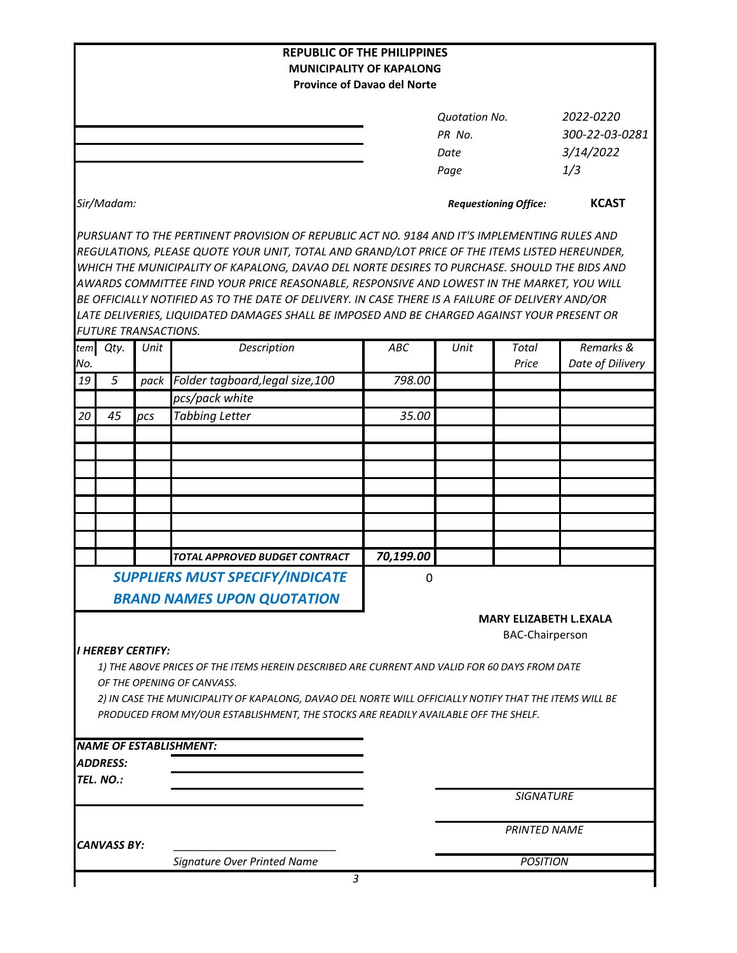|                    |                              |      | <b>REPUBLIC OF THE PHILIPPINES</b>                                                                                                                                                                                                                                                                                                                                                                                                                                                                                                                                                             | <b>MUNICIPALITY OF KAPALONG</b>    |                                                |                                                         |                  |
|--------------------|------------------------------|------|------------------------------------------------------------------------------------------------------------------------------------------------------------------------------------------------------------------------------------------------------------------------------------------------------------------------------------------------------------------------------------------------------------------------------------------------------------------------------------------------------------------------------------------------------------------------------------------------|------------------------------------|------------------------------------------------|---------------------------------------------------------|------------------|
|                    |                              |      |                                                                                                                                                                                                                                                                                                                                                                                                                                                                                                                                                                                                | <b>Province of Davao del Norte</b> |                                                |                                                         |                  |
|                    |                              |      |                                                                                                                                                                                                                                                                                                                                                                                                                                                                                                                                                                                                |                                    | <b>Quotation No.</b><br>PR No.<br>Date<br>Page | 2022-0220<br>300-22-03-0281<br>3/14/2022<br>1/3         |                  |
|                    | Sir/Madam:                   |      |                                                                                                                                                                                                                                                                                                                                                                                                                                                                                                                                                                                                |                                    |                                                | <b>Requestioning Office:</b>                            | <b>KCAST</b>     |
|                    | <b>FUTURE TRANSACTIONS.</b>  |      | PURSUANT TO THE PERTINENT PROVISION OF REPUBLIC ACT NO. 9184 AND IT'S IMPLEMENTING RULES AND<br>REGULATIONS, PLEASE QUOTE YOUR UNIT, TOTAL AND GRAND/LOT PRICE OF THE ITEMS LISTED HEREUNDER,<br>WHICH THE MUNICIPALITY OF KAPALONG, DAVAO DEL NORTE DESIRES TO PURCHASE. SHOULD THE BIDS AND<br>AWARDS COMMITTEE FIND YOUR PRICE REASONABLE, RESPONSIVE AND LOWEST IN THE MARKET, YOU WILL<br>BE OFFICIALLY NOTIFIED AS TO THE DATE OF DELIVERY. IN CASE THERE IS A FAILURE OF DELIVERY AND/OR<br>LATE DELIVERIES, LIQUIDATED DAMAGES SHALL BE IMPOSED AND BE CHARGED AGAINST YOUR PRESENT OR |                                    |                                                |                                                         |                  |
|                    | tem Qty.                     | Unit | Description                                                                                                                                                                                                                                                                                                                                                                                                                                                                                                                                                                                    | ABC                                | Unit                                           | <b>Total</b>                                            | Remarks &        |
| No.                |                              |      |                                                                                                                                                                                                                                                                                                                                                                                                                                                                                                                                                                                                |                                    |                                                | Price                                                   | Date of Dilivery |
| 19                 | 5                            | pack | Folder tagboard, legal size, 100<br>pcs/pack white                                                                                                                                                                                                                                                                                                                                                                                                                                                                                                                                             | 798.00                             |                                                |                                                         |                  |
| 20                 | 45                           | pcs  | <b>Tabbing Letter</b>                                                                                                                                                                                                                                                                                                                                                                                                                                                                                                                                                                          | 35.00                              |                                                |                                                         |                  |
|                    |                              |      |                                                                                                                                                                                                                                                                                                                                                                                                                                                                                                                                                                                                |                                    |                                                |                                                         |                  |
|                    |                              |      |                                                                                                                                                                                                                                                                                                                                                                                                                                                                                                                                                                                                |                                    |                                                |                                                         |                  |
|                    |                              |      | TOTAL APPROVED BUDGET CONTRACT                                                                                                                                                                                                                                                                                                                                                                                                                                                                                                                                                                 | 70,199.00                          |                                                |                                                         |                  |
|                    |                              |      | <b>SUPPLIERS MUST SPECIFY/INDICATE</b>                                                                                                                                                                                                                                                                                                                                                                                                                                                                                                                                                         |                                    |                                                |                                                         |                  |
|                    |                              |      | <b>BRAND NAMES UPON QUOTATION</b>                                                                                                                                                                                                                                                                                                                                                                                                                                                                                                                                                              | 0                                  |                                                |                                                         |                  |
|                    | <b>I HEREBY CERTIFY:</b>     |      | 1) THE ABOVE PRICES OF THE ITEMS HEREIN DESCRIBED ARE CURRENT AND VALID FOR 60 DAYS FROM DATE<br>OF THE OPENING OF CANVASS.<br>2) IN CASE THE MUNICIPALITY OF KAPALONG, DAVAO DEL NORTE WILL OFFICIALLY NOTIFY THAT THE ITEMS WILL BE<br>PRODUCED FROM MY/OUR ESTABLISHMENT, THE STOCKS ARE READILY AVAILABLE OFF THE SHELF.                                                                                                                                                                                                                                                                   |                                    |                                                | <b>MARY ELIZABETH L.EXALA</b><br><b>BAC-Chairperson</b> |                  |
|                    |                              |      | <b>NAME OF ESTABLISHMENT:</b>                                                                                                                                                                                                                                                                                                                                                                                                                                                                                                                                                                  |                                    |                                                |                                                         |                  |
|                    | <b>ADDRESS:</b><br>TEL. NO.: |      |                                                                                                                                                                                                                                                                                                                                                                                                                                                                                                                                                                                                |                                    |                                                |                                                         |                  |
|                    |                              |      |                                                                                                                                                                                                                                                                                                                                                                                                                                                                                                                                                                                                |                                    |                                                | <b>SIGNATURE</b>                                        |                  |
| <b>CANVASS BY:</b> |                              |      |                                                                                                                                                                                                                                                                                                                                                                                                                                                                                                                                                                                                |                                    | <b>PRINTED NAME</b>                            |                                                         |                  |
|                    |                              |      | Signature Over Printed Name                                                                                                                                                                                                                                                                                                                                                                                                                                                                                                                                                                    |                                    |                                                | <b>POSITION</b>                                         |                  |
|                    |                              |      | 3                                                                                                                                                                                                                                                                                                                                                                                                                                                                                                                                                                                              |                                    |                                                |                                                         |                  |